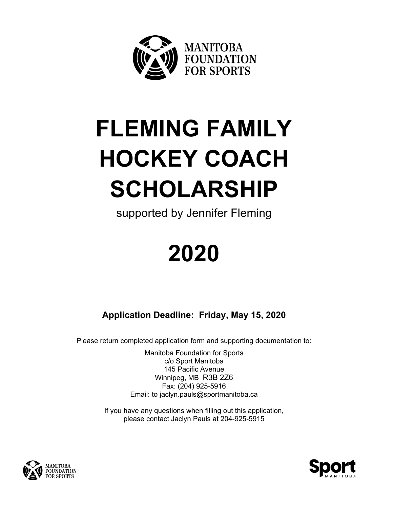

# **FLEMING FAMILY HOCKEY COACH SCHOLARSHIP**

supported by Jennifer Fleming

## **2020**

**Application Deadline: Friday, May 15, 2020**

Please return completed application form and supporting documentation to:

Manitoba Foundation for Sports c/o Sport Manitoba 145 Pacific Avenue Winnipeg, MB R3B 2Z6 Fax: (204) 925-5916 Email: to jaclyn.pauls@sportmanitoba.ca

If you have any questions when filling out this application, please contact Jaclyn Pauls at 204-925-5915



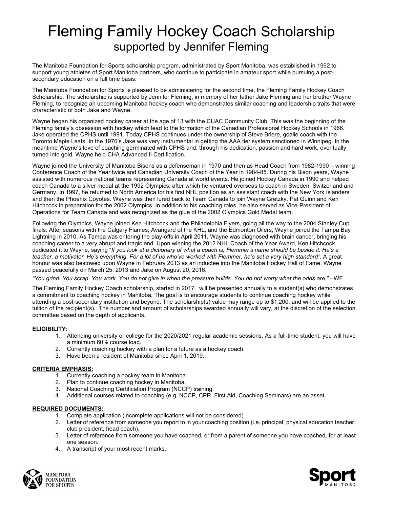### Fleming Family Hockey Coach Scholarship supported by Jennifer Fleming

The Manitoba Foundation for Sports scholarship program, administrated by Sport Manitoba, was established in 1992 to support young athletes of Sport Manitoba partners, who continue to participate in amateur sport while pursuing a postsecondary education on a full time basis.

The Manitoba Foundation for Sports is pleased to be administering for the second time, the Fleming Family Hockey Coach Scholarship. The scholarship is supported by Jennifer Fleming, in memory of her father Jake Fleming and her brother Wayne Fleming, to recognize an upcoming Manitoba hockey coach who demonstrates similar coaching and leadership traits that were characteristic of both Jake and Wayne.

Wayne began his organized hockey career at the age of 13 with the CUAC Community Club. This was the beginning of the Fleming family's obsession with hockey which lead to the formation of the Canadian Professional Hockey Schools in 1966. Jake operated the CPHS until 1991. Today CPHS continues under the ownership of Steve Briere, goalie coach with the Toronto Maple Leafs. In the 1970's Jake was very instrumental in getting the AAA tier system sanctioned in Winnipeg. In the meantime Wayne's love of coaching germinated with CPHS and, through his dedication, passion and hard work, eventually turned into gold. Wayne held CHA Advanced II Certification.

Wayne joined the University of Manitoba Bisons as a defenseman in 1970 and then as Head Coach from 1982-1990 – winning Conference Coach of the Year twice and Canadian University Coach of the Year in 1984-85. During his Bison years, Wayne assisted with numerous national teams representing Canada at world events. He joined Hockey Canada in 1990 and helped coach Canada to a silver medal at the 1992 Olympics; after which he ventured overseas to coach in Sweden, Switzerland and Germany. In 1997, he returned to North America for his first NHL position as an assistant coach with the New York Islanders and then the Phoenix Coyotes. Wayne was then lured back to Team Canada to join Wayne Gretzky, Pat Quinn and Ken Hitchcock in preparation for the 2002 Olympics. In addition to his coaching roles, he also served as Vice-President of Operations for Team Canada and was recognized as the glue of the 2002 Olympics Gold Medal team.

Following the Olympics, Wayne joined Ken Hitchcock and the Philadelphia Flyers, going all the way to the 2004 Stanley Cup finals. After seasons with the Calgary Flames, Avangard of the KHL, and the Edmonton Oilers, Wayne joined the Tampa Bay Lightning in 2010. As Tampa was entering the play-offs in April 2011, Wayne was diagnosed with brain cancer, bringing his coaching career to a very abrupt and tragic end. Upon winning the 2012 NHL Coach of the Year Award, Ken Hitchcock dedicated it to Wayne, saying "*If you look at a dictionary of what a coach is, Flemmer's name should be beside it. He's a teacher, a motivator. He's everything. For a lot of us who've worked with Flemmer, he's set a very high standard".* A great honour was also bestowed upon Wayne in February 2013 as an inductee into the Manitoba Hockey Hall of Fame. Wayne passed peacefully on March 25, 2013 and Jake on August 20, 2016.

*"You grind. You scrap. You work. You do not give in when the pressure builds. You do not worry what the odds are."* - WF

The Fleming Family Hockey Coach scholarship, started in 2017. will be presented annually to a student(s) who demonstrates a commitment to coaching hockey in Manitoba. The goal is to encourage students to continue coaching hockey while attending a post-secondary institution and beyond. The scholarship(s) value may range up to \$1,200, and will be applied to the tuition of the recipient(s). The number and amount of scholarships awarded annually will vary, at the discretion of the selection committee based on the depth of applicants.

#### **ELIGIBILITY:**

- 1. Attending university or college for the 2020/2021 regular academic sessions. As a full-time student, you will have a minimum 60% course load.
- 2. Currently coaching hockey with a plan for a future as a hockey coach.
- 3. Have been a resident of Manitoba since April 1, 2019.

#### **CRITERIA EMPHASIS:**

- 1. Currently coaching a hockey team in Manitoba.
- 2. Plan to continue coaching hockey in Manitoba.
- 3. National Coaching Certification Program (NCCP) training.
- 4. Additional courses related to coaching (e.g. NCCP, CPR, First Aid, Coaching Seminars) are an asset.

#### **REQUIRED DOCUMENTS:**

- 1. Complete application (incomplete applications will not be considered).
- 2. Letter of reference from someone you report to in your coaching position (i.e. principal, physical education teacher, club president, head coach).
- 3. Letter of reference from someone you have coached, or from a parent of someone you have coached, for at least one season.
- 4. A transcript of your most recent marks.



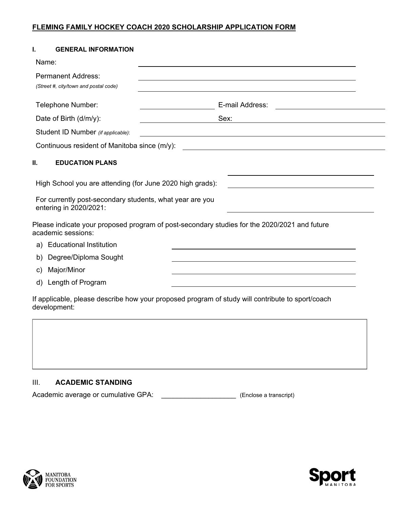#### **FLEMING FAMILY HOCKEY COACH 2020 SCHOLARSHIP APPLICATION FORM**

| I.                     | <b>GENERAL INFORMATION</b>                                                         |                                                                                                  |
|------------------------|------------------------------------------------------------------------------------|--------------------------------------------------------------------------------------------------|
| Name:                  |                                                                                    |                                                                                                  |
|                        | <b>Permanent Address:</b><br>(Street #, city/town and postal code)                 |                                                                                                  |
|                        | Telephone Number:                                                                  | E-mail Address:                                                                                  |
| Date of Birth (d/m/y): |                                                                                    | Sex:                                                                                             |
|                        | Student ID Number (if applicable):                                                 | <u> 1989 - Johann John Stone, Amerikaansk politiker (</u>                                        |
|                        | Continuous resident of Manitoba since (m/y):                                       |                                                                                                  |
| Ш.                     | <b>EDUCATION PLANS</b>                                                             |                                                                                                  |
|                        | High School you are attending (for June 2020 high grads):                          |                                                                                                  |
|                        | For currently post-secondary students, what year are you<br>entering in 2020/2021: |                                                                                                  |
|                        | academic sessions:                                                                 | Please indicate your proposed program of post-secondary studies for the 2020/2021 and future     |
| a)                     | <b>Educational Institution</b>                                                     |                                                                                                  |
| b)                     | Degree/Diploma Sought                                                              |                                                                                                  |
| c)                     | Major/Minor                                                                        |                                                                                                  |
| d)                     | Length of Program                                                                  |                                                                                                  |
|                        |                                                                                    | If applicable, please describe how your proposed program of study will contribute to sport/coach |

#### III. **ACADEMIC STANDING**

Academic average or cumulative GPA: \_\_\_\_\_\_\_\_\_\_\_\_\_\_\_\_\_\_\_\_\_\_\_\_\_ (Enclose a transcript)



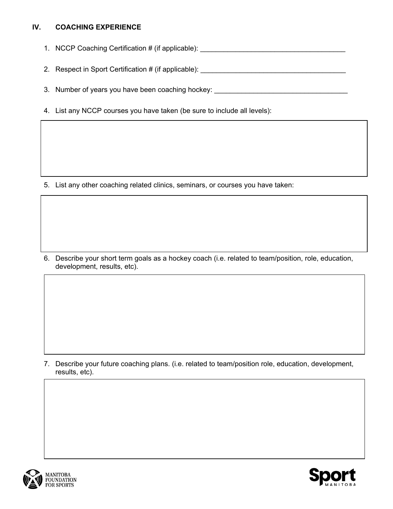#### **IV. COACHING EXPERIENCE**

- 1. NCCP Coaching Certification # (if applicable): \_\_\_\_\_\_\_\_\_\_\_\_\_\_\_\_\_\_\_\_\_\_\_\_\_\_\_\_\_\_
- 2. Respect in Sport Certification # (if applicable): \_\_\_\_\_\_\_\_\_\_\_\_\_\_\_\_\_\_\_\_\_\_\_\_\_\_\_
- 3. Number of years you have been coaching hockey:
- 4. List any NCCP courses you have taken (be sure to include all levels):

5. List any other coaching related clinics, seminars, or courses you have taken:

6. Describe your short term goals as a hockey coach (i.e. related to team/position, role, education, development, results, etc).

7. Describe your future coaching plans. (i.e. related to team/position role, education, development, results, etc).



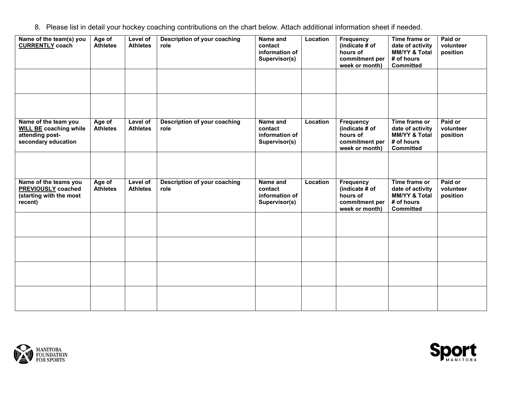8. Please list in detail your hockey coaching contributions on the chart below. Attach additional information sheet if needed.

| Name of the team(s) you<br><b>CURRENTLY coach</b>                                               | Age of<br><b>Athletes</b> | Level of<br><b>Athletes</b> | Description of your coaching<br>role | Name and<br>contact<br>information of<br>Supervisor(s) | Location | <b>Frequency</b><br>(indicate # of<br>hours of<br>commitment per<br>week or month) | Time frame or<br>date of activity<br><b>MM/YY &amp; Total</b><br># of hours<br><b>Committed</b> | Paid or<br>volunteer<br>position |
|-------------------------------------------------------------------------------------------------|---------------------------|-----------------------------|--------------------------------------|--------------------------------------------------------|----------|------------------------------------------------------------------------------------|-------------------------------------------------------------------------------------------------|----------------------------------|
|                                                                                                 |                           |                             |                                      |                                                        |          |                                                                                    |                                                                                                 |                                  |
|                                                                                                 |                           |                             |                                      |                                                        |          |                                                                                    |                                                                                                 |                                  |
| Name of the team you<br><b>WILL BE coaching while</b><br>attending post-<br>secondary education | Age of<br><b>Athletes</b> | Level of<br><b>Athletes</b> | Description of your coaching<br>role | Name and<br>contact<br>information of<br>Supervisor(s) | Location | <b>Frequency</b><br>(indicate # of<br>hours of<br>commitment per<br>week or month) | Time frame or<br>date of activity<br><b>MM/YY &amp; Total</b><br># of hours<br>Committed        | Paid or<br>volunteer<br>position |
|                                                                                                 |                           |                             |                                      |                                                        |          |                                                                                    |                                                                                                 |                                  |
| Name of the teams you<br>PREVIOUSLY coached<br>(starting with the most<br>recent)               | Age of<br><b>Athletes</b> | Level of<br><b>Athletes</b> | Description of your coaching<br>role | Name and<br>contact<br>information of<br>Supervisor(s) | Location | <b>Frequency</b><br>(indicate # of<br>hours of<br>commitment per<br>week or month) | Time frame or<br>date of activity<br><b>MM/YY &amp; Total</b><br># of hours<br><b>Committed</b> | Paid or<br>volunteer<br>position |
|                                                                                                 |                           |                             |                                      |                                                        |          |                                                                                    |                                                                                                 |                                  |
|                                                                                                 |                           |                             |                                      |                                                        |          |                                                                                    |                                                                                                 |                                  |
|                                                                                                 |                           |                             |                                      |                                                        |          |                                                                                    |                                                                                                 |                                  |
|                                                                                                 |                           |                             |                                      |                                                        |          |                                                                                    |                                                                                                 |                                  |



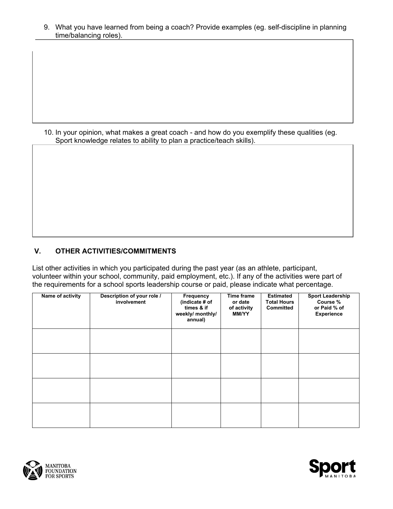9. What you have learned from being a coach? Provide examples (eg. self-discipline in planning time/balancing roles).

10. In your opinion, what makes a great coach - and how do you exemplify these qualities (eg. Sport knowledge relates to ability to plan a practice/teach skills).

#### **V. OTHER ACTIVITIES/COMMITMENTS**

List other activities in which you participated during the past year (as an athlete, participant, volunteer within your school, community, paid employment, etc.). If any of the activities were part of the requirements for a school sports leadership course or paid, please indicate what percentage.

| Name of activity | Description of your role /<br>involvement | Frequency<br>(indicate # of<br>times & if<br>weekly/ monthly/<br>annual) | Time frame<br>or date<br>of activity<br><b>MM/YY</b> | <b>Estimated</b><br><b>Total Hours</b><br><b>Committed</b> | <b>Sport Leadership</b><br>Course %<br>or Paid % of<br>Experience |
|------------------|-------------------------------------------|--------------------------------------------------------------------------|------------------------------------------------------|------------------------------------------------------------|-------------------------------------------------------------------|
|                  |                                           |                                                                          |                                                      |                                                            |                                                                   |
|                  |                                           |                                                                          |                                                      |                                                            |                                                                   |
|                  |                                           |                                                                          |                                                      |                                                            |                                                                   |
|                  |                                           |                                                                          |                                                      |                                                            |                                                                   |